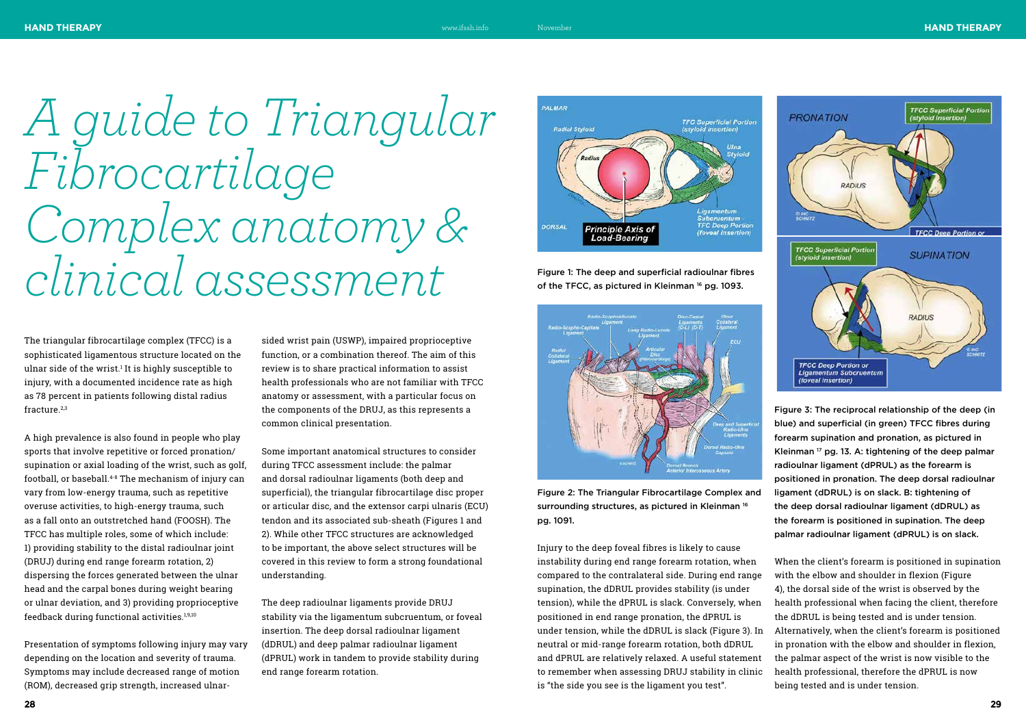The triangular fibrocartilage complex (TFCC) is a sophisticated ligamentous structure located on the ulnar side of the wrist.<sup>1</sup> It is highly susceptible to injury, with a documented incidence rate as high as 78 percent in patients following distal radius fracture.2,3

A high prevalence is also found in people who play sports that involve repetitive or forced pronation/ supination or axial loading of the wrist, such as golf, football, or baseball.4-8 The mechanism of injury can vary from low-energy trauma, such as repetitive overuse activities, to high-energy trauma, such as a fall onto an outstretched hand (FOOSH). The TFCC has multiple roles, some of which include: 1) providing stability to the distal radioulnar joint (DRUJ) during end range forearm rotation, 2) dispersing the forces generated between the ulnar head and the carpal bones during weight bearing or ulnar deviation, and 3) providing proprioceptive feedback during functional activities.1,9,10

Presentation of symptoms following injury may vary depending on the location and severity of trauma. Symptoms may include decreased range of motion (ROM), decreased grip strength, increased ulnarsided wrist pain (USWP), impaired proprioceptive function, or a combination thereof. The aim of this review is to share practical information to assist health professionals who are not familiar with TFCC anatomy or assessment, with a particular focus on the components of the DRUJ, as this represents a common clinical presentation.

> and dPRUL are relatively relaxed. A useful statement to remember when assessing DRUJ stability in clinic Injury to the deep foveal fibres is likely to cause instability during end range forearm rotation, when compared to the contralateral side. During end range supination, the dDRUL provides stability (is under tension), while the dPRUL is slack. Conversely, when positioned in end range pronation, the dPRUL is under tension, while the dDRUL is slack (Figure 3). In neutral or mid-range forearm rotation, both dDRUL is "the side you see is the ligament you test". When the client's forearm is positioned in supination with the elbow and shoulder in flexion (Figure 4), the dorsal side of the wrist is observed by the health professional when facing the client, therefore the dDRUL is being tested and is under tension. Alternatively, when the client's forearm is positioned in pronation with the elbow and shoulder in flexion, the palmar aspect of the wrist is now visible to the health professional, therefore the dPRUL is now being tested and is under tension.

Some important anatomical structures to consider during TFCC assessment include: the palmar and dorsal radioulnar ligaments (both deep and superficial), the triangular fibrocartilage disc proper or articular disc, and the extensor carpi ulnaris (ECU) tendon and its associated sub-sheath (Figures 1 and 2). While other TFCC structures are acknowledged to be important, the above select structures will be covered in this review to form a strong foundational understanding.

The deep radioulnar ligaments provide DRUJ stability via the ligamentum subcruentum, or foveal insertion. The deep dorsal radioulnar ligament (dDRUL) and deep palmar radioulnar ligament (dPRUL) work in tandem to provide stability during end range forearm rotation.

*A guide to Triangular Fibrocartilage Complex anatomy & clinical assessment* 





Figure 1: The deep and superficial radioulnar fibres of the TFCC, as pictured in Kleinman 16 pg. 1093.



Figure 2: The Triangular Fibrocartilage Complex and surrounding structures, as pictured in Kleinman<sup>16</sup> pg. 1091. Figure 3: The reciprocal relationship of the deep (in blue) and superficial (in green) TFCC fibres during forearm supination and pronation, as pictured in Kleinman 17 pg. 13. A: tightening of the deep palmar radioulnar ligament (dPRUL) as the forearm is positioned in pronation. The deep dorsal radioulnar ligament (dDRUL) is on slack. B: tightening of the deep dorsal radioulnar ligament (dDRUL) as the forearm is positioned in supination. The deep palmar radioulnar ligament (dPRUL) is on slack.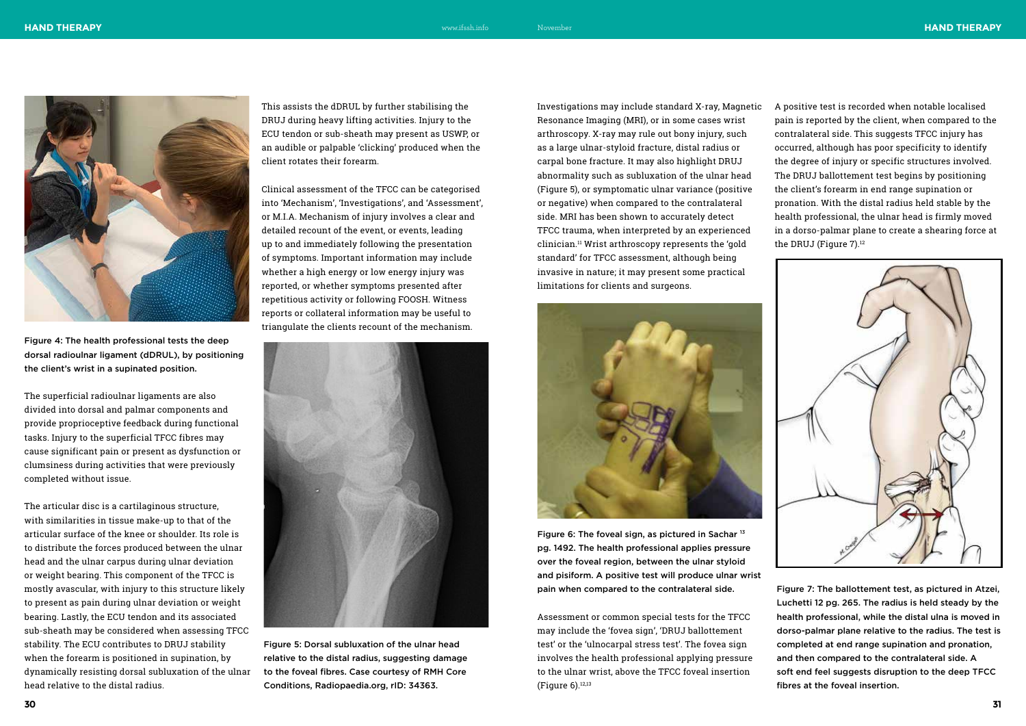The superficial radioulnar ligaments are also divided into dorsal and palmar components and provide proprioceptive feedback during functional tasks. Injury to the superficial TFCC fibres may cause significant pain or present as dysfunction or clumsiness during activities that were previously completed without issue.

The articular disc is a cartilaginous structure, with similarities in tissue make-up to that of the articular surface of the knee or shoulder. Its role is to distribute the forces produced between the ulnar head and the ulnar carpus during ulnar deviation or weight bearing. This component of the TFCC is mostly avascular, with injury to this structure likely to present as pain during ulnar deviation or weight bearing. Lastly, the ECU tendon and its associated sub-sheath may be considered when assessing TFCC stability. The ECU contributes to DRUJ stability when the forearm is positioned in supination, by dynamically resisting dorsal subluxation of the ulnar head relative to the distal radius.

This assists the dDRUL by further stabilising the DRUJ during heavy lifting activities. Injury to the ECU tendon or sub-sheath may present as USWP, or an audible or palpable 'clicking' produced when the client rotates their forearm.

A positive test is recorded when notable localised pain is reported by the client, when compared to the contralateral side. This suggests TFCC injury has occurred, although has poor specificity to identify the degree of injury or specific structures involved. The DRUJ ballottement test begins by positioning the client's forearm in end range supination or pronation. With the distal radius held stable by the health professional, the ulnar head is firmly moved in a dorso-palmar plane to create a shearing force at the DRUJ (Figure 7).<sup>12</sup>



Clinical assessment of the TFCC can be categorised into 'Mechanism', 'Investigations', and 'Assessment', or M.I.A. Mechanism of injury involves a clear and detailed recount of the event, or events, leading up to and immediately following the presentation of symptoms. Important information may include whether a high energy or low energy injury was reported, or whether symptoms presented after repetitious activity or following FOOSH. Witness reports or collateral information may be useful to triangulate the clients recount of the mechanism.





Figure 6: The foveal sign, as pictured in Sachar <sup>13</sup> pg. 1492. The health professional applies pressure over the foveal region, between the ulnar styloid and pisiform. A positive test will produce ulnar wrist pain when compared to the contralateral side. Figure 7: The ballottement test, as pictured in Atzei,

Investigations may include standard X-ray, Magnetic Resonance Imaging (MRI), or in some cases wrist arthroscopy. X-ray may rule out bony injury, such as a large ulnar-styloid fracture, distal radius or carpal bone fracture. It may also highlight DRUJ abnormality such as subluxation of the ulnar head (Figure 5), or symptomatic ulnar variance (positive or negative) when compared to the contralateral side. MRI has been shown to accurately detect TFCC trauma, when interpreted by an experienced clinician.11 Wrist arthroscopy represents the 'gold standard' for TFCC assessment, although being invasive in nature; it may present some practical limitations for clients and surgeons.

Assessment or common special tests for the TFCC may include the 'fovea sign', 'DRUJ ballottement test' or the 'ulnocarpal stress test'. The fovea sign involves the health professional applying pressure to the ulnar wrist, above the TFCC foveal insertion (Figure 6).12,13

Figure 4: The health professional tests the deep dorsal radioulnar ligament (dDRUL), by positioning the client's wrist in a supinated position.

> Figure 5: Dorsal subluxation of the ulnar head relative to the distal radius, suggesting damage to the foveal fibres. Case courtesy of RMH Core Conditions, Radiopaedia.org, rID: 34363.

Luchetti 12 pg. 265. The radius is held steady by the health professional, while the distal ulna is moved in dorso-palmar plane relative to the radius. The test is completed at end range supination and pronation, and then compared to the contralateral side. A soft end feel suggests disruption to the deep TFCC fibres at the foveal insertion.